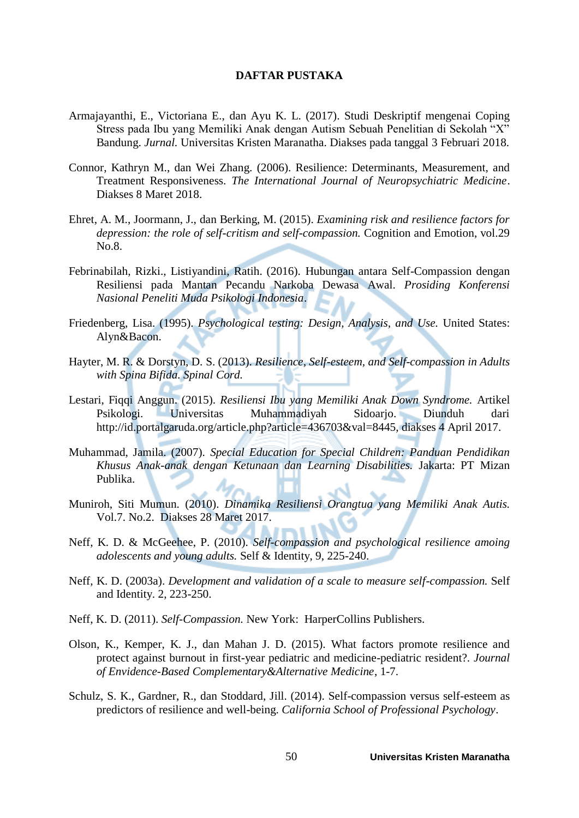## **DAFTAR PUSTAKA**

- Armajayanthi, E., Victoriana E., dan Ayu K. L. (2017). Studi Deskriptif mengenai Coping Stress pada Ibu yang Memiliki Anak dengan Autism Sebuah Penelitian di Sekolah "X" Bandung. *Jurnal.* Universitas Kristen Maranatha. Diakses pada tanggal 3 Februari 2018.
- Connor, Kathryn M., dan Wei Zhang. (2006). Resilience: Determinants, Measurement, and Treatment Responsiveness. *The International Journal of Neuropsychiatric Medicine*. Diakses 8 Maret 2018.
- Ehret, A. M., Joormann, J., dan Berking, M. (2015). *Examining risk and resilience factors for depression: the role of self-critism and self-compassion.* Cognition and Emotion, vol.29 No.8.
- Febrinabilah, Rizki., Listiyandini, Ratih. (2016). Hubungan antara Self-Compassion dengan Resiliensi pada Mantan Pecandu Narkoba Dewasa Awal. *Prosiding Konferensi Nasional Peneliti Muda Psikologi Indonesia*.
- Friedenberg, Lisa. (1995). *Psychological testing: Design, Analysis, and Use.* United States: Alyn&Bacon.
- Hayter, M. R. & Dorstyn, D. S. (2013). *Resilience, Self-esteem, and Self-compassion in Adults with Spina Bifida. Spinal Cord.*
- Lestari, Fiqqi Anggun. (2015). *Resiliensi Ibu yang Memiliki Anak Down Syndrome.* Artikel Psikologi. Universitas Muhammadiyah Sidoarjo. Diunduh dari http://id.portalgaruda.org/article.php?article=436703&val=8445, diakses 4 April 2017.
- Muhammad, Jamila. (2007). *Special Education for Special Children: Panduan Pendidikan Khusus Anak-anak dengan Ketunaan dan Learning Disabilities.* Jakarta: PT Mizan Publika.
- Muniroh, Siti Mumun. (2010). *Dinamika Resiliensi Orangtua yang Memiliki Anak Autis.*  Vol.7. No.2. Diakses 28 Maret 2017.
- Neff, K. D. & McGeehee, P. (2010). *Self-compassion and psychological resilience amoing adolescents and young adults.* Self & Identity, 9, 225-240.
- Neff, K. D. (2003a). *Development and validation of a scale to measure self-compassion.* Self and Identity. 2, 223-250.
- Neff, K. D. (2011). *Self-Compassion.* New York: HarperCollins Publishers.
- Olson, K., Kemper, K. J., dan Mahan J. D. (2015). What factors promote resilience and protect against burnout in first-year pediatric and medicine-pediatric resident?. *Journal of Envidence-Based Complementary&Alternative Medicine*, 1-7.
- Schulz, S. K., Gardner, R., dan Stoddard, Jill. (2014). Self-compassion versus self-esteem as predictors of resilience and well-being. *California School of Professional Psychology*.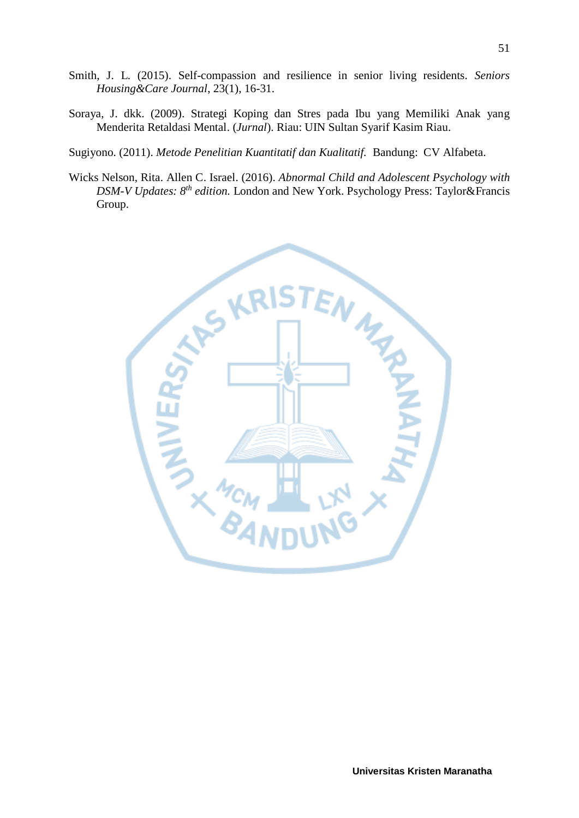- Smith, J. L. (2015). Self-compassion and resilience in senior living residents*. Seniors Housing&Care Journal*, 23(1), 16-31.
- Soraya, J. dkk. (2009). Strategi Koping dan Stres pada Ibu yang Memiliki Anak yang Menderita Retaldasi Mental. (*Jurnal*). Riau: UIN Sultan Syarif Kasim Riau.
- Sugiyono. (2011). *Metode Penelitian Kuantitatif dan Kualitatif.* Bandung: CV Alfabeta.
- Wicks Nelson, Rita. Allen C. Israel. (2016). *Abnormal Child and Adolescent Psychology with DSM-V Updates: 8th edition.* London and New York. Psychology Press: Taylor&Francis Group.